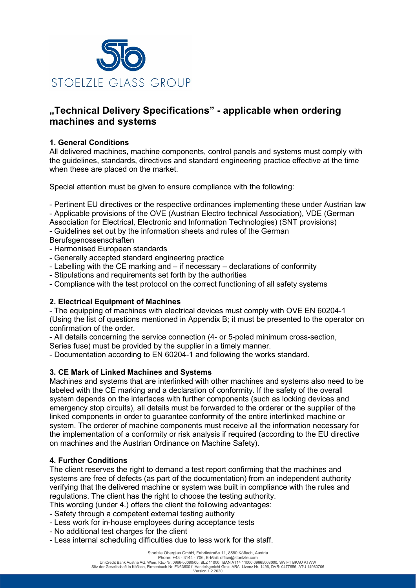

# **"Technical Delivery Specifications" - applicable when ordering machines and systems**

### **1. General Conditions**

All delivered machines, machine components, control panels and systems must comply with the guidelines, standards, directives and standard engineering practice effective at the time when these are placed on the market.

Special attention must be given to ensure compliance with the following:

- Pertinent EU directives or the respective ordinances implementing these under Austrian law

- Applicable provisions of the OVE (Austrian Electro technical Association), VDE (German

Association for Electrical, Electronic and Information Technologies) (SNT provisions)

- Guidelines set out by the information sheets and rules of the German Berufsgenossenschaften

- Harmonised European standards

- Generally accepted standard engineering practice
- Labelling with the CE marking and if necessary declarations of conformity
- Stipulations and requirements set forth by the authorities
- Compliance with the test protocol on the correct functioning of all safety systems

#### **2. Electrical Equipment of Machines**

- The equipping of machines with electrical devices must comply with OVE EN 60204-1 (Using the list of questions mentioned in Appendix B; it must be presented to the operator on confirmation of the order.

- All details concerning the service connection (4- or 5-poled minimum cross-section,

Series fuse) must be provided by the supplier in a timely manner.

- Documentation according to EN 60204-1 and following the works standard.

## **3. CE Mark of Linked Machines and Systems**

Machines and systems that are interlinked with other machines and systems also need to be labeled with the CE marking and a declaration of conformity. If the safety of the overall system depends on the interfaces with further components (such as locking devices and emergency stop circuits), all details must be forwarded to the orderer or the supplier of the linked components in order to guarantee conformity of the entire interlinked machine or system. The orderer of machine components must receive all the information necessary for the implementation of a conformity or risk analysis if required (according to the EU directive on machines and the Austrian Ordinance on Machine Safety).

#### **4. Further Conditions**

The client reserves the right to demand a test report confirming that the machines and systems are free of defects (as part of the documentation) from an independent authority verifying that the delivered machine or system was built in compliance with the rules and regulations. The client has the right to choose the testing authority.

This wording (under 4.) offers the client the following advantages:

- Safety through a competent external testing authority
- Less work for in-house employees during acceptance tests
- No additional test charges for the client
- Less internal scheduling difficulties due to less work for the staff.